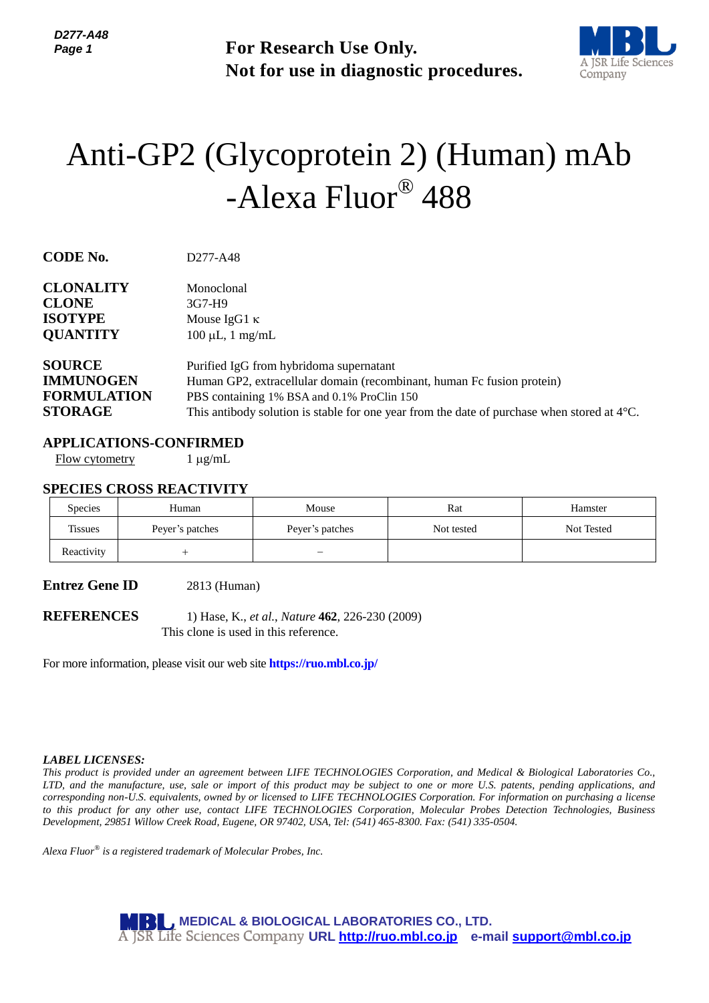

# Anti-GP2 (Glycoprotein 2) (Human) mAb -Alexa Fluor® 488

| Page 1                                                                                                                                             |                                                                                                                        | <b>For Research Use Only.</b><br>Not for use in diagnostic procedures.                                                                                                                                                                                                                                                                                                                                                                                                                                                                                                                                                                 |            | A JSR Life So<br>Company |
|----------------------------------------------------------------------------------------------------------------------------------------------------|------------------------------------------------------------------------------------------------------------------------|----------------------------------------------------------------------------------------------------------------------------------------------------------------------------------------------------------------------------------------------------------------------------------------------------------------------------------------------------------------------------------------------------------------------------------------------------------------------------------------------------------------------------------------------------------------------------------------------------------------------------------------|------------|--------------------------|
|                                                                                                                                                    |                                                                                                                        | Anti-GP2 (Glycoprotein 2) (Human) mAb<br>-Alexa Fluor® 488                                                                                                                                                                                                                                                                                                                                                                                                                                                                                                                                                                             |            |                          |
| <b>CODE No.</b>                                                                                                                                    | D277-A48                                                                                                               |                                                                                                                                                                                                                                                                                                                                                                                                                                                                                                                                                                                                                                        |            |                          |
| <b>CLONALITY</b><br><b>CLONE</b><br><b>ISOTYPE</b><br><b>QUANTITY</b><br><b>SOURCE</b><br><b>IMMUNOGEN</b><br><b>FORMULATION</b><br><b>STORAGE</b> | Monoclonal<br>3G7-H9<br>Mouse IgG1 $\kappa$<br>$100 \mu L$ , 1 mg/mL                                                   | Purified IgG from hybridoma supernatant<br>Human GP2, extracellular domain (recombinant, human Fc fusion protein)<br>PBS containing 1% BSA and 0.1% ProClin 150<br>This antibody solution is stable for one year from the date of purchase when stored at $4^{\circ}$ C.                                                                                                                                                                                                                                                                                                                                                               |            |                          |
| <b>Flow cytometry</b>                                                                                                                              | <b>APPLICATIONS-CONFIRMED</b><br>$1 \mu g/mL$                                                                          |                                                                                                                                                                                                                                                                                                                                                                                                                                                                                                                                                                                                                                        |            |                          |
|                                                                                                                                                    | <b>SPECIES CROSS REACTIVITY</b>                                                                                        |                                                                                                                                                                                                                                                                                                                                                                                                                                                                                                                                                                                                                                        |            |                          |
| Species                                                                                                                                            | Human                                                                                                                  | Mouse                                                                                                                                                                                                                                                                                                                                                                                                                                                                                                                                                                                                                                  | Rat        | Hamster                  |
| <b>Tissues</b>                                                                                                                                     | Peyer's patches                                                                                                        | Peyer's patches                                                                                                                                                                                                                                                                                                                                                                                                                                                                                                                                                                                                                        | Not tested | Not Tested               |
| Reactivity                                                                                                                                         | $^{+}$                                                                                                                 |                                                                                                                                                                                                                                                                                                                                                                                                                                                                                                                                                                                                                                        |            |                          |
| <b>Entrez Gene ID</b><br><b>REFERENCES</b>                                                                                                         | 2813 (Human)                                                                                                           | 1) Hase, K., et al., Nature 462, 226-230 (2009)                                                                                                                                                                                                                                                                                                                                                                                                                                                                                                                                                                                        |            |                          |
|                                                                                                                                                    | This clone is used in this reference.<br>For more information, please visit our web site <b>https://ruo.mbl.co.jp/</b> |                                                                                                                                                                                                                                                                                                                                                                                                                                                                                                                                                                                                                                        |            |                          |
| <b>LABEL LICENSES:</b>                                                                                                                             | Alexa Fluor® is a registered trademark of Molecular Probes, Inc.                                                       | This product is provided under an agreement between LIFE TECHNOLOGIES Corporation, and Medical & Biological Laboratories (<br>LTD, and the manufacture, use, sale or import of this product may be subject to one or more U.S. patents, pending applications,<br>corresponding non-U.S. equivalents, owned by or licensed to LIFE TECHNOLOGIES Corporation. For information on purchasing a lice<br>to this product for any other use, contact LIFE TECHNOLOGIES Corporation, Molecular Probes Detection Technologies, Busin<br>Development, 29851 Willow Creek Road, Eugene, OR 97402, USA, Tel: (541) 465-8300. Fax: (541) 335-0504. |            |                          |
|                                                                                                                                                    |                                                                                                                        | <b>MBL, MEDICAL &amp; BIOLOGICAL LABORATORIES CO., LTD.</b><br>A JSR Life Sciences Company URL http://ruo.mbl.co.jp e-mail support@mbl.co.jp                                                                                                                                                                                                                                                                                                                                                                                                                                                                                           |            |                          |

#### **APPLICATIONS-CONFIRMED**

## **SPECIES CROSS REACTIVITY**

| <b>Species</b> | Human           | Mouse           | Rat        | Hamster    |
|----------------|-----------------|-----------------|------------|------------|
| <b>Tissues</b> | Peyer's patches | Peyer's patches | Not tested | Not Tested |
| Reactivity     |                 | -               |            |            |

#### *LABEL LICENSES:*